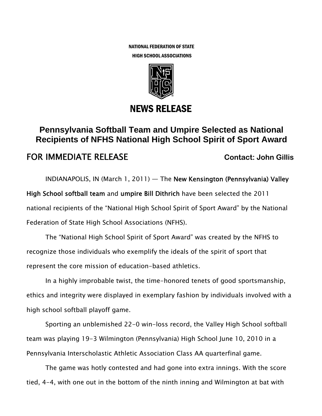NATIONAL FEDERATION OF STATE HIGH SCHOOL ASSOCIATIONS



# NEWS RELEASE

## **Pennsylvania Softball Team and Umpire Selected as National Recipients of NFHS National High School Spirit of Sport Award**

### **FOR IMMEDIATE RELEASE** Contact: John Gillis

INDIANAPOLIS, IN (March 1, 2011) — The New Kensington (Pennsylvania) Valley High School softball team and umpire Bill Dithrich have been selected the 2011 national recipients of the "National High School Spirit of Sport Award" by the National Federation of State High School Associations (NFHS).

The "National High School Spirit of Sport Award" was created by the NFHS to recognize those individuals who exemplify the ideals of the spirit of sport that represent the core mission of education-based athletics.

In a highly improbable twist, the time-honored tenets of good sportsmanship, ethics and integrity were displayed in exemplary fashion by individuals involved with a high school softball playoff game.

Sporting an unblemished 22-0 win-loss record, the Valley High School softball team was playing 19-3 Wilmington (Pennsylvania) High School June 10, 2010 in a Pennsylvania Interscholastic Athletic Association Class AA quarterfinal game.

The game was hotly contested and had gone into extra innings. With the score tied, 4-4, with one out in the bottom of the ninth inning and Wilmington at bat with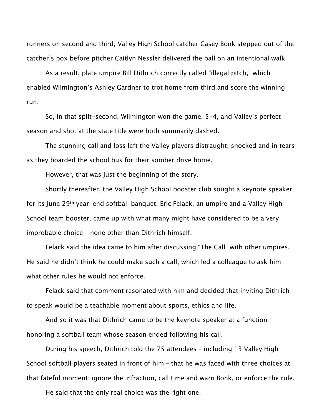runners on second and third, Valley High School catcher Casey Bonk stepped out of the catcher's box before pitcher Caitlyn Nessler delivered the ball on an intentional walk.

As a result, plate umpire Bill Dithrich correctly called "illegal pitch," which enabled Wilmington's Ashley Gardner to trot home from third and score the winning run.

So, in that split-second, Wilmington won the game, 5-4, and Valley's perfect season and shot at the state title were both summarily dashed.

The stunning call and loss left the Valley players distraught, shocked and in tears as they boarded the school bus for their somber drive home.

However, that was just the beginning of the story.

Shortly thereafter, the Valley High School booster club sought a keynote speaker for its June 29th year-end softball banquet. Eric Felack, an umpire and a Valley High School team booster, came up with what many might have considered to be a very improbable choice – none other than Dithrich himself.

Felack said the idea came to him after discussing "The Call" with other umpires. He said he didn't think he could make such a call, which led a colleague to ask him what other rules he would not enforce.

Felack said that comment resonated with him and decided that inviting Dithrich to speak would be a teachable moment about sports, ethics and life.

And so it was that Dithrich came to be the keynote speaker at a function honoring a softball team whose season ended following his call.

During his speech, Dithrich told the 75 attendees – including 13 Valley High School softball players seated in front of him – that he was faced with three choices at that fateful moment: ignore the infraction, call time and warn Bonk, or enforce the rule.

He said that the only real choice was the right one.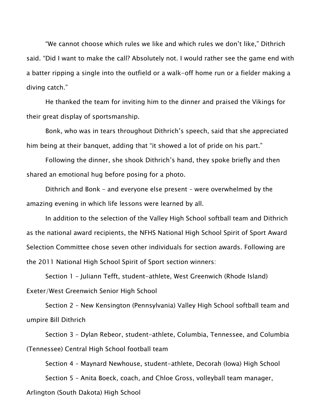"We cannot choose which rules we like and which rules we don't like," Dithrich said. "Did I want to make the call? Absolutely not. I would rather see the game end with a batter ripping a single into the outfield or a walk-off home run or a fielder making a diving catch."

He thanked the team for inviting him to the dinner and praised the Vikings for their great display of sportsmanship.

Bonk, who was in tears throughout Dithrich's speech, said that she appreciated him being at their banquet, adding that "it showed a lot of pride on his part."

Following the dinner, she shook Dithrich's hand, they spoke briefly and then shared an emotional hug before posing for a photo.

Dithrich and Bonk – and everyone else present – were overwhelmed by the amazing evening in which life lessons were learned by all.

In addition to the selection of the Valley High School softball team and Dithrich as the national award recipients, the NFHS National High School Spirit of Sport Award Selection Committee chose seven other individuals for section awards. Following are the 2011 National High School Spirit of Sport section winners:

Section 1 – Juliann Tefft, student-athlete, West Greenwich (Rhode Island) Exeter/West Greenwich Senior High School

Section 2 – New Kensington (Pennsylvania) Valley High School softball team and umpire Bill Dithrich

Section 3 – Dylan Rebeor, student-athlete, Columbia, Tennessee, and Columbia (Tennessee) Central High School football team

Section 4 – Maynard Newhouse, student-athlete, Decorah (Iowa) High School Section 5 – Anita Boeck, coach, and Chloe Gross, volleyball team manager, Arlington (South Dakota) High School